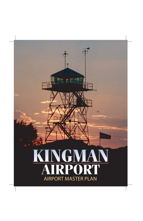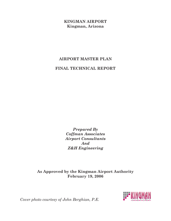#### **KINGMAN AIRPORT Kingman, Arizona**

# **AIRPORT MASTER PLAN**

#### **FINAL TECHNICAL REPORT**

*Prepared By Coffman Associates Airport Consultants And Z&H Engineering*

**As Approved by the Kingman Airport Authority February 19, 2006**



*Cover photo courtesy of John Berghian, P.E.*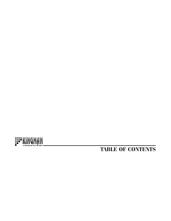

# **TABLE OF CONTENTS**

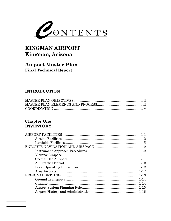

# **KINGMAN AIRPORT** Kingman, Arizona

# **Airport Master Plan Final Technical Report**

### **INTRODUCTION**

#### **Chapter One INVENTORY**

| $1 - 1$ |
|---------|
|         |
|         |
|         |
|         |
|         |
|         |
|         |
|         |
|         |
|         |
|         |
|         |
|         |
|         |
|         |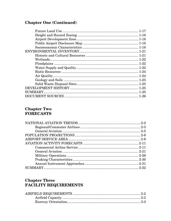# **Chapter One (Continued)**

#### **Chapter Two FORECASTS**

#### **Chapter Three FACILITY REQUIREMENTS**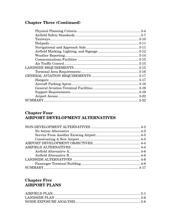# **Chapter Three (Continued)**

#### **Chapter Four AIRPORT DEVELOPMENT ALTERNATIVES**

#### **Chapter Five AIRPORT PLANS**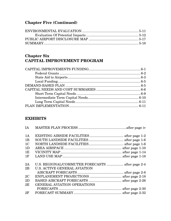# **Chapter Five (Continued)**

#### **Chapter Six CAPITAL IMPROVEMENT PROGRAM**

#### **EXHIBITS**

| IA             |                                                  |  |
|----------------|--------------------------------------------------|--|
| 1A             |                                                  |  |
| 1B             |                                                  |  |
| 1 <sub>C</sub> |                                                  |  |
| 1 <sub>D</sub> |                                                  |  |
| 1E             |                                                  |  |
| 1F             |                                                  |  |
| 2A             | U.S. REGIONAL/COMMUTER FORECASTS  after page 2-4 |  |
| 2B             | U.S. ACTIVE GENERAL AVIATION                     |  |
|                |                                                  |  |
| 2C             |                                                  |  |
| 2D             |                                                  |  |
| 2E             | <b>GENERAL AVIATION OPERATIONS</b>               |  |
|                |                                                  |  |
| 2F             |                                                  |  |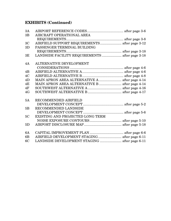## **EXHIBITS (Continued)**

| 3A             |                                                 |  |
|----------------|-------------------------------------------------|--|
| 3B             | AIRCRAFT OPERATIONAL AREA                       |  |
|                |                                                 |  |
| 3 <sub>C</sub> | AIRFIELD SUPPORT REQUIREMENTS after page 3-12   |  |
| 3D             | PASSENGER TERMINAL BUILDING                     |  |
|                |                                                 |  |
| 3E             | LANDSIDE FACILITY REQUIREMENTS  after page 3-18 |  |
| 4A             | <b>ALTERNATIVE DEVELOPMENT</b>                  |  |
|                |                                                 |  |
| 4B             |                                                 |  |
| 4C             |                                                 |  |
| 4D             | MAIN APRON AREA ALTERNATIVE A  after page 4-14  |  |
| 4E             | MAIN APRON AREA ALTERNATIVE B  after page 4-14  |  |
| 4F             |                                                 |  |
| 4G             |                                                 |  |
| 5A             | RECOMMENDED AIRFIELD                            |  |
|                |                                                 |  |
| 5B             | RECOMMENDED LANDSIDE                            |  |
|                |                                                 |  |
| 5C             | EXISTING AND PROJECTED LONG TERM                |  |
|                |                                                 |  |
| 5D             |                                                 |  |
| 6A             |                                                 |  |
| 6 <sub>B</sub> | AIRFIELD DEVELOPMENT STAGING after page 6-11    |  |
| 6C             | LANDSIDE DEVELOPMENT STAGING  after page 6-11   |  |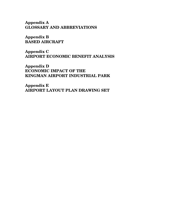**Appendix A GLOSSARY AND ABBREVIATIONS** 

**Appendix B BASED AIRCRAFT** 

**Appendix C AIRPORT ECONOMIC BENEFIT ANALYSIS** 

**Appendix D ECONOMIC IMPACT OF THE KINGMAN AIRPORT INDUSTRIAL PARK** 

**Appendix E AIRPORT LAYOUT PLAN DRAWING SET**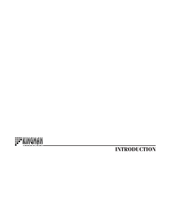

# **INTRODUCTION**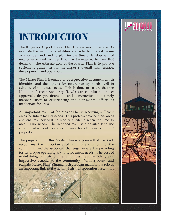# **INTRODUCTION**

The Kingman Airport Master Plan Update was undertaken to evaluate the airport's capabilities and role, to forecast future aviation demand, and to plan for the timely development of new or expanded facilities that may be required to meet that demand. The ultimate goal of the Master Plan is to provide systematic guidelines for the airport's overall maintenance, development, and operation.

The Master Plan is intended to be a proactive document which identifies and then plans for future facility needs well in advance of the actual need. This is done to ensure that the Kingman Airport Authority (KAA) can coordinate project approvals, design, financing, and construction in a timely manner, prior to experiencing the detrimental effects of inadequate facilities.

An important result of the Master Plan is reserving sufficient areas for future facility needs. This protects development areas and ensures they will be readily available when required to meet future needs. The intended result is a detailed land use concept which outlines specific uses for all areas of airport property.

The preparation of this Master Plan is evidence that the KAA recognizes the importance of air transportation to the community and the associated challenges inherent in providing for its unique operating and improvement needs. The cost of maintaining an airport is an investment which yields impressive benefits to the community. With a sound and realistic Master Plan, Kingman Airport can maintain its role as an important link to the national air transportation system for



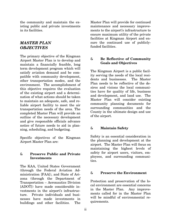the community and maintain the existing public and private investments in its facilities.

#### *MASTER PLAN OBJECTIVES*

The primary objective of the Kingman Airport Master Plan is to develop and maintain a financially feasible, long term development program which will satisfy aviation demand and be compatible with community development, other transportation modes, and the environment. The accomplishment of this objective requires the evaluation of the existing airport and a determination of what actions should be taken to maintain an adequate, safe, and reliable airport facility to meet the air transportation needs of the area. The completed Master Plan will provide an outline of the necessary development and give responsible officials advance notice of future needs to aid in planning, scheduling, and budgeting.

Specific objectives of the Kingman Airport Master Plan are:

#### & **Preserve Public and Private Investments**

The KAA, United States Government (through the Federal Aviation Administration [FAA]), and State of Arizona (through the Department of Transportation – Aeronautics Division [ADOT]) have made considerable investments in the airport's infrastructure. Private individuals and businesses have made investments in buildings and other facilities. The

Master Plan will provide for continued maintenance and necessary improvements to the airport's infrastructure to ensure maximum utility of the private facilities at Kingman Airport and ensure the continued use of publiclyfunded facilities.

#### & **Be Reflective of Community Goals and Objectives**

The Kingman Airport is a public facility serving the needs of the local residents and businesses. The Master Plan needs to be reflective of the desires and visions the local communities have for quality of life, business and development, and land use. The Master Plan will consider existing community planning documents for surrounding communities and the County in the ultimate design and use of the airport.

#### & **Maintain Safety**

Safety is an essential consideration in the planning and development at the airport. The Master Plan will focus on maintaining the highest levels of safety for airport users, visitors, employees, and surrounding communities.

#### & **Preserve the Environment**

Protection and preservation of the local environment are essential concerns in the Master Plan. Any improvements called for in the Master Plan will be mindful of environmental requirements.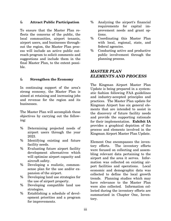#### & **Attract Public Participation**

To ensure that the Master Plan reflects the concerns of the public, the local communities, airport tenants, airport users, and businesses throughout the region, the Master Plan process will include an active public outreach program to solicit comments and suggestions and include them in the final Master Plan, to the extent possible.

#### & **Strengthen the Economy**

In continuing support of the area's strong economy, the Master Plan is aimed at retaining and increasing jobs and revenue for the region and its businesses.

The Master Plan will accomplish these objectives by carrying out the following:

- % Determining projected needs of airport users through the year 2023.
- % Identifying existing and future facility needs.
- % Evaluating future airport facility development alternatives which will optimize airport capacity and aircraft safety.
- % Developing a realistic, commonsense plan for the use and/or expansion of the airport.
- % Developing land use strategies for the use of airport property.
- % Developing compatible land use strategies.
- % Establishing a schedule of development priorities and a program for improvements.
- % Analyzing the airport's financial requirements for capital improvement needs and grant options.
- % Coordinating this Master Plan with local, regional, state, and federal agencies.
- % Conducting active and productive public involvement through the planning process.

#### *MASTER PLAN ELEMENTS AND PROCESS*

The Kingman Airport Master Plan Update is being prepared in a systematic fashion following FAA guidelines and industry-accepted principles and practices. The Master Plan update for Kingman Airport has six general elements that are intended to assist in the discovery of future facility needs and provide the supporting rationale for their implementation. **Exhibit IA**  provides a graphical depiction of the process and elements involved in the Kingman Airport Master Plan Update.

Element One encompasses the inventory efforts. The inventory efforts were focused on collecting and assembling relevant data pertaining to the airport and the area it serves. Information was collected on existing airport facilities and operations. Local economic and demographic data was collected to define the local growth trends. Planning studies which may have relevance to the Master Plan were also collected. Information collected during the inventory efforts are summarized in Chapter One, Inventory.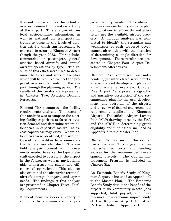Element Two examines the potential aviation demand for aviation activity at the airport. This analysis utilizes local socioeconomic information, as well as national air transportation trends to quantify the levels of aviation activity which can reasonably be expected to occur at Kingman Airport though the year 2023. This includes commercial air passengers, general aviation based aircraft, and annual aircraft operations by type. The results of this effort were used to determine the types and sizes of facilities which will be required to meet the projected aviation demands for the airport through the planning period. The results of this analysis are presented in Chapter Two, Aviation Demand Forecasts.

Element Three comprises the facility requirements analysis. The intent of this analysis was to compare the existing facility capacities to forecast aviation demand and determine where deficiencies in capacities (as well as excess capacities) may exist. Where deficiencies were identified, the size and type of new facilities to accommodate the demand are identified. The airfield analysis focused on improvements needed to serve the type of aircraft expected to operate at the airport in the future, as well as navigational aids to increase the safety and efficiency of operations. This element also examined the air carrier terminal, aircraft storage hangars, and apron needs. The findings of this analysis are presented in Chapter Three, Facility Requirements.

Element Four considers a variety of solutions to accommodate the projected facility needs. This element proposes various facility and site plan configurations to efficiently and effectively use the available airport property. A thorough analysis was completed to identify the strengths and weaknesses of each proposed development alternative, with the intention of determining a single direction for development. These results are presented in Chapter Four, Airport Development Alternatives.

Element Five comprises two independent, yet interrelated work efforts: a recommended development plan and an environmental overview. Chapter Five, Airport Plans, presents a graphic and narrative description of the recommended plan for the use, development, and operation of the airport, and a review of federal environmental requirements applicable to Kingman Airport. The official Airport Layout Plan (ALP) drawings used by the FAA and the ADOT in determining grant eligibility and funding are included as Appendix E to the Master Plan.

Element Six focuses on the capital needs program. This program defines the schedules, costs, and funding sources for the recommended development projects. The Capital Improvement Program is included in Chapter Six.

An Economic Benefit Study of Kingman Airport is included as Appendix C to the Master Plan. The Economic Benefit Study details the benefit of the airport to the community in total jobs supported, total payroll, and total revenues. An economic impact study of the Kingman Airport Industrial Park is included in Appendix D.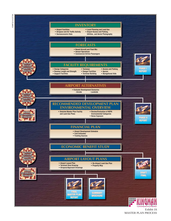03MP10-IA-5/7/04 03MP10-IA-5/7/04



Exhibit IA MASTER PLAN PROCESS